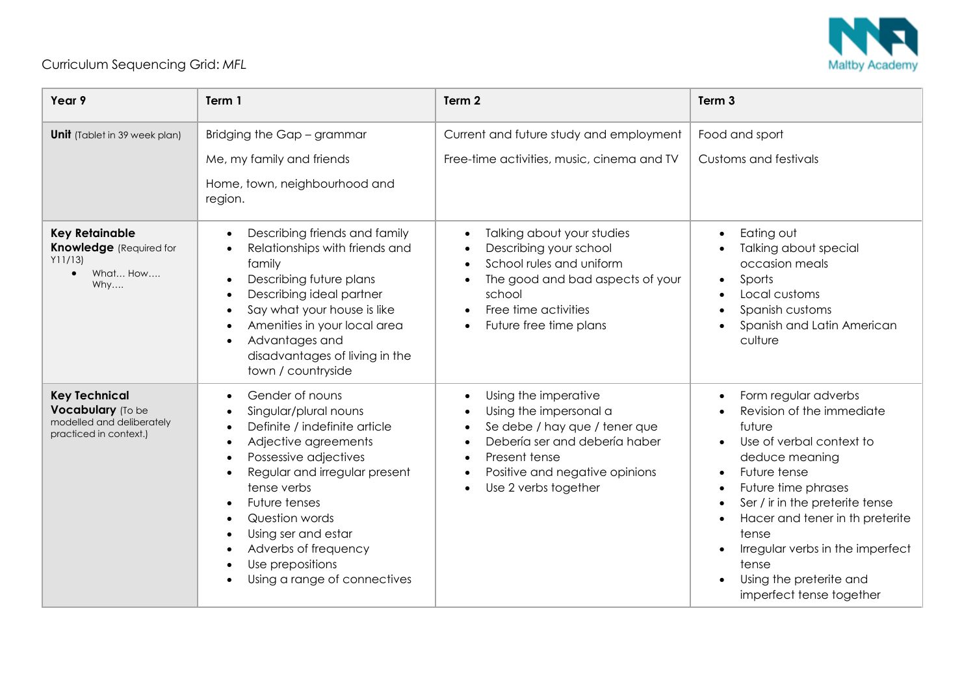

## Curriculum Sequencing Grid: *MFL*

| Year 9                                                                                            | Term 1                                                                                                                                                                                                                                                                                                                        | Term 2                                                                                                                                                                                                                | Term <sub>3</sub>                                                                                                                                                                                                                                                                                                                                             |
|---------------------------------------------------------------------------------------------------|-------------------------------------------------------------------------------------------------------------------------------------------------------------------------------------------------------------------------------------------------------------------------------------------------------------------------------|-----------------------------------------------------------------------------------------------------------------------------------------------------------------------------------------------------------------------|---------------------------------------------------------------------------------------------------------------------------------------------------------------------------------------------------------------------------------------------------------------------------------------------------------------------------------------------------------------|
| <b>Unit</b> (Tablet in 39 week plan)                                                              | Bridging the Gap - grammar<br>Me, my family and friends<br>Home, town, neighbourhood and<br>region.                                                                                                                                                                                                                           | Current and future study and employment<br>Free-time activities, music, cinema and TV                                                                                                                                 | Food and sport<br>Customs and festivals                                                                                                                                                                                                                                                                                                                       |
| <b>Key Retainable</b><br><b>Knowledge</b> (Required for<br>Y11/13<br>What How<br>$\bullet$<br>Why | Describing friends and family<br>$\bullet$<br>Relationships with friends and<br>family<br>Describing future plans<br>Describing ideal partner<br>Say what your house is like<br>Amenities in your local area<br>Advantages and<br>disadvantages of living in the<br>town / countryside                                        | Talking about your studies<br>$\bullet$<br>Describing your school<br>School rules and uniform<br>The good and bad aspects of your<br>school<br>Free time activities<br>$\bullet$<br>Future free time plans            | Eating out<br>$\bullet$<br>Talking about special<br>occasion meals<br>Sports<br>$\bullet$<br>Local customs<br>Spanish customs<br>Spanish and Latin American<br>culture                                                                                                                                                                                        |
| <b>Key Technical</b><br>Vocabulary (To be<br>modelled and deliberately<br>practiced in context.)  | Gender of nouns<br>Singular/plural nouns<br>Definite / indefinite article<br>Adjective agreements<br>Possessive adjectives<br>Regular and irregular present<br>tense verbs<br>Future tenses<br>Question words<br>$\bullet$<br>Using ser and estar<br>Adverbs of frequency<br>Use prepositions<br>Using a range of connectives | Using the imperative<br>Using the impersonal a<br>Se debe / hay que / tener que<br>Debería ser and debería haber<br>$\bullet$<br>Present tense<br>$\bullet$<br>Positive and negative opinions<br>Use 2 verbs together | Form regular adverbs<br>$\bullet$<br>Revision of the immediate<br>future<br>Use of verbal context to<br>$\bullet$<br>deduce meaning<br>Future tense<br>Future time phrases<br>Ser / ir in the preterite tense<br>Hacer and tener in th preterite<br>tense<br>Irregular verbs in the imperfect<br>tense<br>Using the preterite and<br>imperfect tense together |